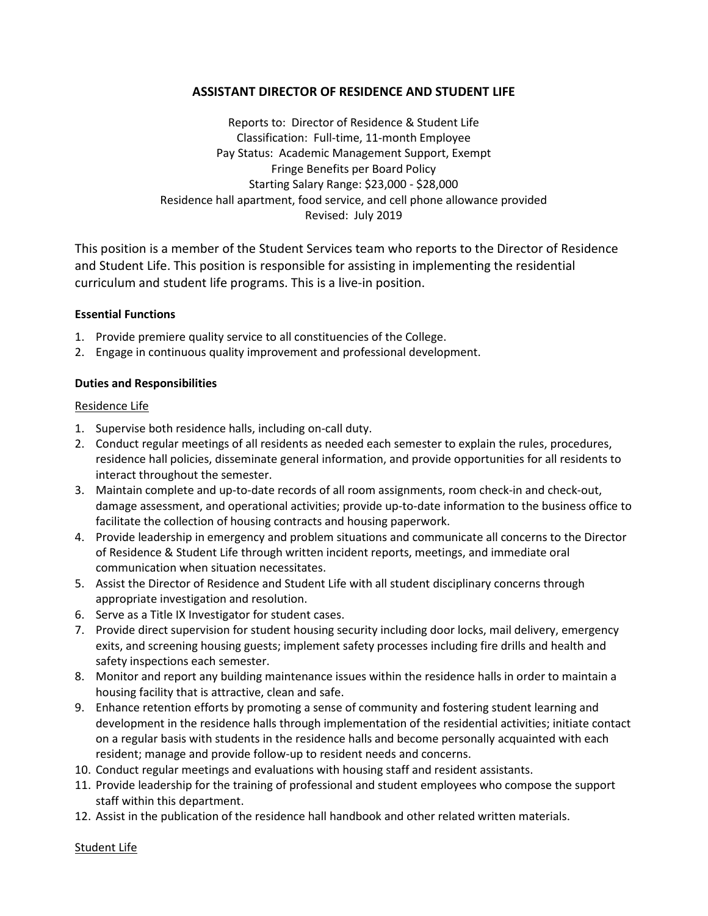# **ASSISTANT DIRECTOR OF RESIDENCE AND STUDENT LIFE**

Reports to: Director of Residence & Student Life Classification: Full-time, 11-month Employee Pay Status: Academic Management Support, Exempt Fringe Benefits per Board Policy Starting Salary Range: \$23,000 - \$28,000 Residence hall apartment, food service, and cell phone allowance provided Revised: July 2019

This position is a member of the Student Services team who reports to the Director of Residence and Student Life. This position is responsible for assisting in implementing the residential curriculum and student life programs. This is a live-in position.

## **Essential Functions**

- 1. Provide premiere quality service to all constituencies of the College.
- 2. Engage in continuous quality improvement and professional development.

## **Duties and Responsibilities**

## Residence Life

- 1. Supervise both residence halls, including on-call duty.
- 2. Conduct regular meetings of all residents as needed each semester to explain the rules, procedures, residence hall policies, disseminate general information, and provide opportunities for all residents to interact throughout the semester.
- 3. Maintain complete and up-to-date records of all room assignments, room check-in and check-out, damage assessment, and operational activities; provide up-to-date information to the business office to facilitate the collection of housing contracts and housing paperwork.
- 4. Provide leadership in emergency and problem situations and communicate all concerns to the Director of Residence & Student Life through written incident reports, meetings, and immediate oral communication when situation necessitates.
- 5. Assist the Director of Residence and Student Life with all student disciplinary concerns through appropriate investigation and resolution.
- 6. Serve as a Title IX Investigator for student cases.
- 7. Provide direct supervision for student housing security including door locks, mail delivery, emergency exits, and screening housing guests; implement safety processes including fire drills and health and safety inspections each semester.
- 8. Monitor and report any building maintenance issues within the residence halls in order to maintain a housing facility that is attractive, clean and safe.
- 9. Enhance retention efforts by promoting a sense of community and fostering student learning and development in the residence halls through implementation of the residential activities; initiate contact on a regular basis with students in the residence halls and become personally acquainted with each resident; manage and provide follow-up to resident needs and concerns.
- 10. Conduct regular meetings and evaluations with housing staff and resident assistants.
- 11. Provide leadership for the training of professional and student employees who compose the support staff within this department.
- 12. Assist in the publication of the residence hall handbook and other related written materials.

Student Life